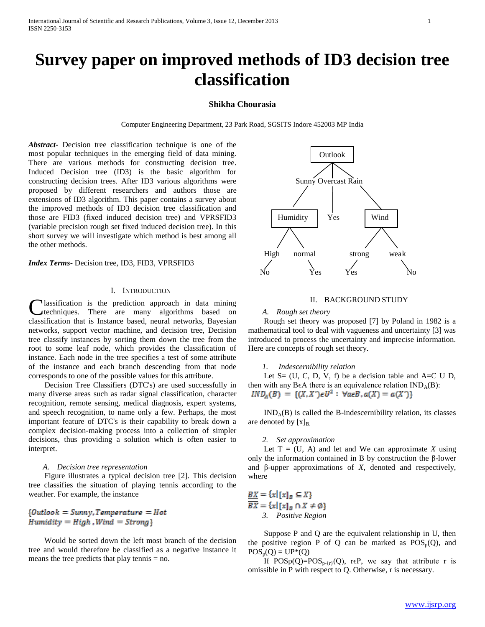# **Survey paper on improved methods of ID3 decision tree classification**

# **Shikha Chourasia**

Computer Engineering Department, 23 Park Road, SGSITS Indore 452003 MP India

*Abstract***-** Decision tree classification technique is one of the most popular techniques in the emerging field of data mining. There are various methods for constructing decision tree. Induced Decision tree (ID3) is the basic algorithm for constructing decision trees. After ID3 various algorithms were proposed by different researchers and authors those are extensions of ID3 algorithm. This paper contains a survey about the improved methods of ID3 decision tree classification and those are FID3 (fixed induced decision tree) and VPRSFID3 (variable precision rough set fixed induced decision tree). In this short survey we will investigate which method is best among all the other methods.

*Index Terms*- Decision tree, ID3, FID3, VPRSFID3

# I. INTRODUCTION

lassification is the prediction approach in data mining techniques. There are many algorithms based on classification that is Instance based, neural networks, Bayesian networks, support vector machine, and decision tree, Decision tree classify instances by sorting them down the tree from the root to some leaf node, which provides the classification of instance. Each node in the tree specifies a test of some attribute of the instance and each branch descending from that node corresponds to one of the possible values for this attribute. C

 Decision Tree Classifiers (DTC's) are used successfully in many diverse areas such as radar signal classification, character recognition, remote sensing, medical diagnosis, expert systems, and speech recognition, to name only a few. Perhaps, the most important feature of DTC's is their capability to break down a complex decision-making process into a collection of simpler decisions, thus providing a solution which is often easier to interpret.

#### *A. Decision tree representation*

 Figure illustrates a typical decision tree [2]. This decision tree classifies the situation of playing tennis according to the weather. For example, the instance

 ${0$ utlook = Sunny, Temperature = Hot  $H$ umidity =  $High$ , Wind =  $Strong$ }

 Would be sorted down the left most branch of the decision tree and would therefore be classified as a negative instance it means the tree predicts that play tennis = no.



## II. BACKGROUND STUDY

### *A. Rough set theory*

 Rough set theory was proposed [7] by Poland in 1982 is a mathematical tool to deal with vagueness and uncertainty [3] was introduced to process the uncertainty and imprecise information. Here are concepts of rough set theory.

# *1. Indescernibility relation*

Let  $S = (U, C, D, V, f)$  be a decision table and  $A = C U D$ , then with any B $\epsilon$ A there is an equivalence relation  $IND_A(B)$ :  $IND_A(B) = \{(X, X') \in U^2 : \forall a \in B, a(X) = a(X')\}$ 

 $IND<sub>A</sub>(B)$  is called the B-indescernibility relation, its classes are denoted by  $[x]_B$ .

# *2. Set approximation*

Let  $T = (U, A)$  and let and We can approximate X using only the information contained in B by construction the β-lower and β-upper approximations of *X,* denoted and respectively, where

 $\underline{BX} = \{x \mid [x]_B \subseteq X\}$  $\overline{BX} = \{x \mid [x]_B \cap X \neq \emptyset\}$ *3. Positive Region*

 Suppose P and Q are the equivalent relationship in U, then the positive region P of Q can be marked as  $POS_p(Q)$ , and  $POS_p(Q) = UP*(Q)$ 

If  $POSp(Q)=POS_{p-[r]}(Q)$ , r $\epsilon P$ , we say that attribute r is omissible in P with respect to Q. Otherwise, r is necessary.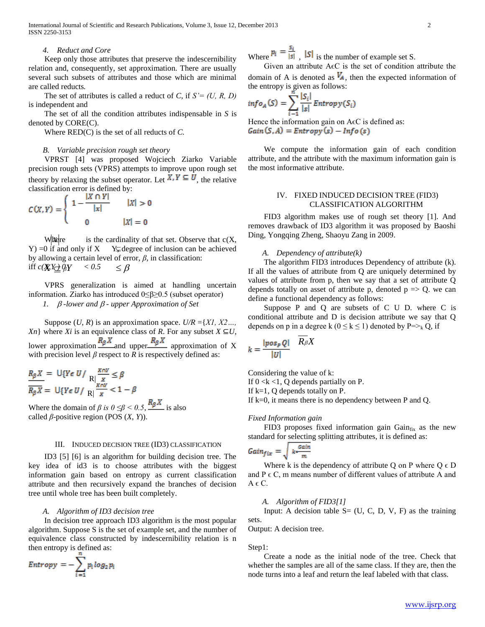International Journal of Scientific and Research Publications, Volume 3, Issue 12, December 2013 2 ISSN 2250-3153

## *4. Reduct and Core*

 Keep only those attributes that preserve the indescernibility relation and, consequently, set approximation. There are usually several such subsets of attributes and those which are minimal are called reducts*.*

 The set of attributes is called a reduct of *C*, if *S'= (U, R, D)* is independent and

 The set of all the condition attributes indispensable in *S* is denoted by CORE(C).

Where RED(C) is the set of all reducts of *C.*

#### *B. Variable precision rough set theory*

 VPRST [4] was proposed Wojciech Ziarko Variable precision rough sets (VPRS) attempts to improve upon rough set theory by relaxing the subset operator. Let  $X, Y \subseteq U$ , the relative classification error is defined by:

$$
C(X,Y) = \begin{cases} 1 - \frac{|X \cap Y|}{|x|} & |X| > 0 \\ 0 & |X| = 0 \end{cases}
$$

is the cardinality of that set. Observe that  $c(X,$  $Y$ ) =0 if and only if  $X$  Y $\subsetneq$  degree of inclusion can be achieved by allowing a certain level of error, *β*, in classification: iff  $c(X) \underline{Y} \underline{\rightarrow} QY$  < 0.5  $\leq \beta$ W<sub>ikere</sub>

 VPRS generalization is aimed at handling uncertain information. Ziarko has introduced 0≤β≥0.5 (subset operator)

*1. -lower and - upper Approximation of Set*

Suppose  $(U, R)$  is an approximation space.  $U/R = \{XI, X2...$ *Xn*} where *Xi* is an equivalence class of *R*. For any subset  $X \subseteq U$ , lower approximation  $\frac{R_{\beta}X}{R_{\beta}X}$  approximation of X with precision level  $\beta$  respect to  $R$  is respectively defined as:

$$
\frac{R_{\beta}X}{R_{\beta}X} = \frac{U\{Y \in U / R | \frac{X \cap Y}{X} \leq \beta}{R \mid \frac{X \cap Y}{X} < 1 - \beta}
$$

Where the domain of *β is*  $0 \leq \beta < 0.5$ ,  $\frac{R_{\beta}X}{\beta}$  is also called  $\beta$ -positive region (POS  $(X, Y)$ ).

#### III. INDUCED DECISION TREE (ID3) CLASSIFICATION

 ID3 [5] [6] is an algorithm for building decision tree. The key idea of id3 is to choose attributes with the biggest information gain based on entropy as current classification attribute and then recursively expand the branches of decision tree until whole tree has been built completely.

#### *A. Algorithm of ID3 decision tree*

 In decision tree approach ID3 algorithm is the most popular algorithm. Suppose S is the set of example set, and the number of equivalence class constructed by indescernibility relation is n then entropy is defined as:

$$
Entropy = -\sum_{i=1}^{n} p_i \log_2 p_i
$$

Where  $p_i = \frac{s_i}{|s|}$ ,  $|S|$  is the number of example set S.

Given an attribute  $A \in C$  is the set of condition attribute the domain of A is denoted as  $V_A$ , then the expected information of the entropy is given as follows:

$$
info_A(S) = \sum_{i=1}^{n} \frac{|S_i|}{|s|} Entropy(S_i)
$$

Hence the information gain on  $A \in C$  is defined as:  $Gain(S, A) = Entropy(s) - Info(s)$ 

 We compute the information gain of each condition attribute, and the attribute with the maximum information gain is the most informative attribute.

# IV. FIXED INDUCED DECISION TREE (FID3) CLASSIFICATION ALGORITHM

 FID3 algorithm makes use of rough set theory [1]. And removes drawback of ID3 algorithm it was proposed by Baoshi Ding, Yongqing Zheng, Shaoyu Zang in 2009.

#### *A. Dependency of attribute(k)*

 The algorithm FID3 introduces Dependency of attribute (k). If all the values of attribute from Q are uniquely determined by values of attribute from p, then we say that a set of attribute Q depends totally on asset of attribute p, denoted  $p \Rightarrow Q$ , we can define a functional dependency as follows:

 Suppose P and Q are subsets of C U D. where C is conditional attribute and D is decision attribute we say that Q depends on p in a degree k ( $0 \le k \le 1$ ) denoted by P=><sub>k</sub> Q, if

$$
k = \frac{|pos_{P} Q|}{|U|} \quad R_{\beta} X
$$

Considering the value of k:

If  $0 \lt k \lt 1$ , Q depends partially on P.

If k=1, Q depends totally on P.

If  $k=0$ , it means there is no dependency between P and Q.

### *Fixed Information gain*

FID3 proposes fixed information gain  $Gain_{fix}$  as the new standard for selecting splitting attributes, it is defined as:

$$
Gain_{fix} = \sqrt{k \cdot \frac{Gain}{m}}
$$

Where k is the dependency of attribute Q on P where  $Q \in D$ and  $P \in C$ , m means number of different values of attribute A and  $A \in \mathbb{C}$ .

#### *A. Algorithm of FID3[1]*

Input: A decision table  $S = (U, C, D, V, F)$  as the training sets.

Output: A decision tree.

Step1:

 Create a node as the initial node of the tree. Check that whether the samples are all of the same class. If they are, then the node turns into a leaf and return the leaf labeled with that class.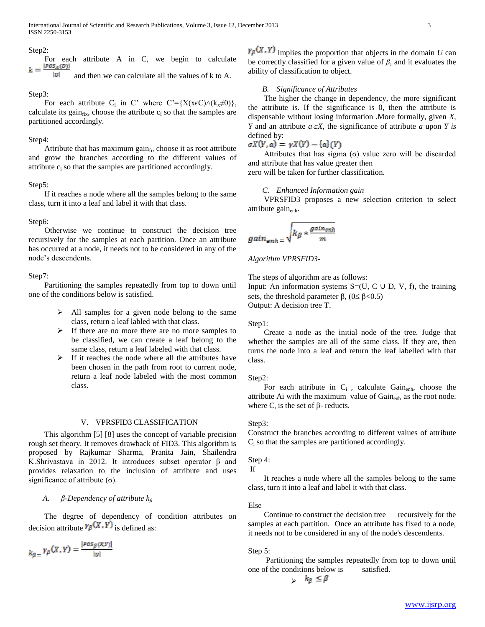#### Step2:

For each attribute A in C, we begin to calculate  $k = \frac{|\text{pos}_A(p)|}{\text{len}}$  $|U|$ 

and then we can calculate all the values of k to A.

#### Step3:

For each attribute C<sub>i</sub> in C' where C'={X(x $\epsilon$ C) $\land$ (k<sub>x</sub> $\neq$ 0)}, calculate its gain $_{fix}$ , choose the attribute  $c_i$  so that the samples are partitioned accordingly.

#### Step4:

Attribute that has maximum gain $_{fix}$  choose it as root attribute and grow the branches according to the different values of attribute c<sup>i</sup> so that the samples are partitioned accordingly.

#### Step5:

 If it reaches a node where all the samples belong to the same class, turn it into a leaf and label it with that class.

# Step6:

 Otherwise we continue to construct the decision tree recursively for the samples at each partition. Once an attribute has occurred at a node, it needs not to be considered in any of the node's descendents.

# Step7:

 Partitioning the samples repeatedly from top to down until one of the conditions below is satisfied.

- $\triangleright$  All samples for a given node belong to the same class, return a leaf labled with that class.
- $\triangleright$  If there are no more there are no more samples to be classified, we can create a leaf belong to the same class, return a leaf labeled with that class.
- $\triangleright$  If it reaches the node where all the attributes have been chosen in the path from root to current node, return a leaf node labeled with the most common class.

## V. VPRSFID3 CLASSIFICATION

 This algorithm [5] [8] uses the concept of variable precision rough set theory. It removes drawback of FID3. This algorithm is proposed by Rajkumar Sharma, Pranita Jain, Shailendra K.Shrivastava in 2012. It introduces subset operator β and provides relaxation to the inclusion of attribute and uses significance of attribute  $(\sigma)$ .

## *A. β-Dependency of attribute k<sup>β</sup>*

 The degree of dependency of condition attributes on decision attribute  $v_{\beta}(X, Y)$  is defined as:

$$
k_{\beta} = \gamma_{\beta}(X, Y) = \frac{|pos_{\beta}(X, Y)|}{|U|}
$$

 $\gamma_{\beta}(X, Y)$  implies the proportion that objects in the domain *U* can be correctly classified for a given value of  $\beta$ , and it evaluates the ability of classification to object.

#### *B. Significance of Attributes*

 The higher the change in dependency, the more significant the attribute is. If the significance is 0, then the attribute is dispensable without losing information .More formally, given *X, Y* and an attribute  $a \in X$ , the significance of attribute *a* upon *Y* is defined by:

$$
\sigma X(Y,a) = \gamma X(Y) - \{a\}(Y)
$$

Attributes that has sigma  $(\sigma)$  value zero will be discarded and attribute that has value greater then

zero will be taken for further classification.

# *C. Enhanced Information gain*

 VPRSFID3 proposes a new selection criterion to select attribute gain $_{\text{enh}}$ .

$$
gain_{enh}=\sqrt{k_{\beta}* \frac{gain_{enh}}{m}}
$$

*Algorithm VPRSFID3-*

The steps of algorithm are as follows:

Input: An information systems  $S=(U, C \cup D, V, f)$ , the training sets, the threshold parameter  $\beta$ , (0 \le  $\beta$  < 0.5) Output: A decision tree T.

#### Step1:

 Create a node as the initial node of the tree. Judge that whether the samples are all of the same class. If they are, then turns the node into a leaf and return the leaf labelled with that class.

# Step2:

For each attribute in  $C_i$ , calculate Gain<sub>enh</sub>, choose the attribute Ai with the maximum value of Gain<sub>enh</sub> as the root node. where  $C_i$  is the set of  $\beta$ - reducts.

#### Step3:

Construct the branches according to different values of attribute  $C_i$  so that the samples are partitioned accordingly.

## Step 4:

```
If
```
 It reaches a node where all the samples belong to the same class, turn it into a leaf and label it with that class.

# Else

Continue to construct the decision tree recursively for the samples at each partition. Once an attribute has fixed to a node, it needs not to be considered in any of the node's descendents.

#### Step 5:

 Partitioning the samples repeatedly from top to down until one of the conditions below is satisfied.

$$
\qquad \qquad \succ \quad k_{\beta} \leq \beta
$$